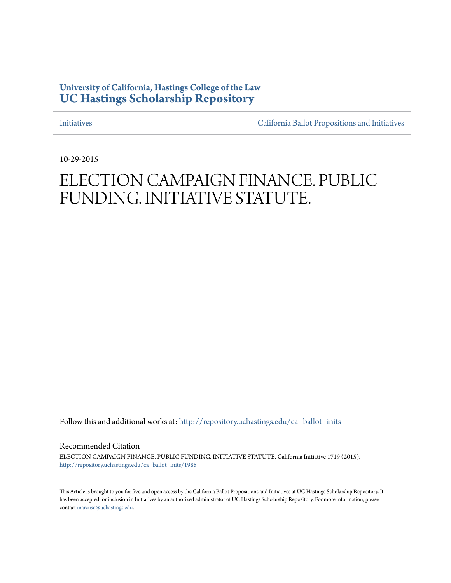### **University of California, Hastings College of the Law [UC Hastings Scholarship Repository](http://repository.uchastings.edu?utm_source=repository.uchastings.edu%2Fca_ballot_inits%2F1988&utm_medium=PDF&utm_campaign=PDFCoverPages)**

[Initiatives](http://repository.uchastings.edu/ca_ballot_inits?utm_source=repository.uchastings.edu%2Fca_ballot_inits%2F1988&utm_medium=PDF&utm_campaign=PDFCoverPages) [California Ballot Propositions and Initiatives](http://repository.uchastings.edu/ca_ballots?utm_source=repository.uchastings.edu%2Fca_ballot_inits%2F1988&utm_medium=PDF&utm_campaign=PDFCoverPages)

10-29-2015

# ELECTION CAMPAIGN FINANCE. PUBLIC FUNDING. INITIATIVE STATUTE.

Follow this and additional works at: [http://repository.uchastings.edu/ca\\_ballot\\_inits](http://repository.uchastings.edu/ca_ballot_inits?utm_source=repository.uchastings.edu%2Fca_ballot_inits%2F1988&utm_medium=PDF&utm_campaign=PDFCoverPages)

Recommended Citation

ELECTION CAMPAIGN FINANCE. PUBLIC FUNDING. INITIATIVE STATUTE. California Initiative 1719 (2015). [http://repository.uchastings.edu/ca\\_ballot\\_inits/1988](http://repository.uchastings.edu/ca_ballot_inits/1988?utm_source=repository.uchastings.edu%2Fca_ballot_inits%2F1988&utm_medium=PDF&utm_campaign=PDFCoverPages)

This Article is brought to you for free and open access by the California Ballot Propositions and Initiatives at UC Hastings Scholarship Repository. It has been accepted for inclusion in Initiatives by an authorized administrator of UC Hastings Scholarship Repository. For more information, please contact [marcusc@uchastings.edu](mailto:marcusc@uchastings.edu).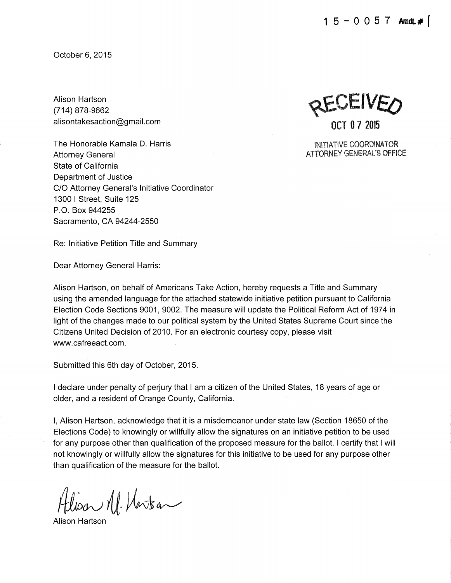October 6, 2015

Alison Hartson (714) 878-9662 alisontakesaction@gmail.com

The Honorable Kamala D. Harris Attorney General State of California Department of Justice C/0 Attorney General's Initiative Coordinator 1300 I Street, Suite 125 P. 0. Box 944255 Sacramento, CA 94244-2550

Re: Initiative Petition Title and Summary

Dear Attorney General Harris:

Alison Hartson, on behalf of Americans Take Action, hereby requests a Title and Summary using the amended language for the attached statewide initiative petition pursuant to California Election Code Sections 9001, 9002. The measure will update the Political Reform Act of 1974 in light of the changes made to our political system by the United States Supreme Court since the Citizens United Decision of 2010. For an electronic courtesy copy, please visit www.cafreeact.com.

Submitted this 6th day of October, 2015.

I declare under penalty of perjury that I am a citizen of the United States, 18 years of age or older, and a resident of Orange County, California.

I, Alison Hartson, acknowledge that it is a misdemeanor under state law (Section 18650 of the Elections Code) to knowingly or willfully allow the signatures on an initiative petition to be used for any purpose other than qualification of the proposed measure for the ballot. I certify that I will not knowingly or willfully allow the signatures for this initiative to be used for any purpose other than qualification of the measure for the ballot.

 $AlioarM/Matra-$ 

Alison Hartson

~CEIVfD OCT '0 7 2015

INITIATIVE COORDINATOR ATTORNEY GENERAL'S OFFICE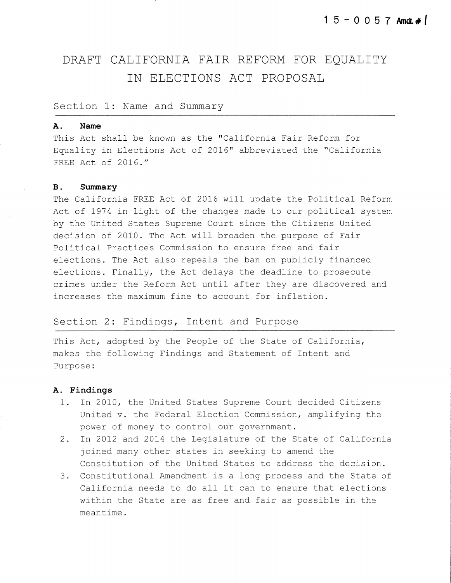## DRAFT CALIFORNIA FAIR REFORM FOR EQUALITY IN ELECTIONS ACT PROPOSAL

#### Section 1: Name and Summary

#### **A. Name**

This Act shall be known as the "California Fair Reform for Equality in Elections Act of 2016" abbreviated the "California FREE Act of 2016."

#### **B.** Summary

The California FREE Act of 2016 will update the Political Reform Act of 1974 in light of the changes made to our political system by the United States Supreme Court since the Citizens United decision of 2010. The Act will broaden the purpose of Fair Political Practices Commission to ensure free and fair elections. The Act also repeals the ban on publicly financed elections. Finally, the Act delays the deadline to prosecute crimes under the Reform Act until after they are discovered and increases the maximum fine to account for inflation.

#### Section 2: Findings, Intent and Purpose

This Act, adopted by the People of the State of California, makes the following Findings and Statement of Intent and Purpose:

#### **A. Findings**

- 1. In 2010, the United States Supreme Court decided Citizens United v. the Federal Election Commission, amplifying the power of money to control our government.
- 2. In 2012 and 2014 the Legislature of the State of California joined many other states in seeking to amend the Constitution of the United States to address the decision.
- 3. Constitutional Amendment is a long process and the State of California needs to do all it can to ensure that elections within the State are as free and fair as possible in the meantime.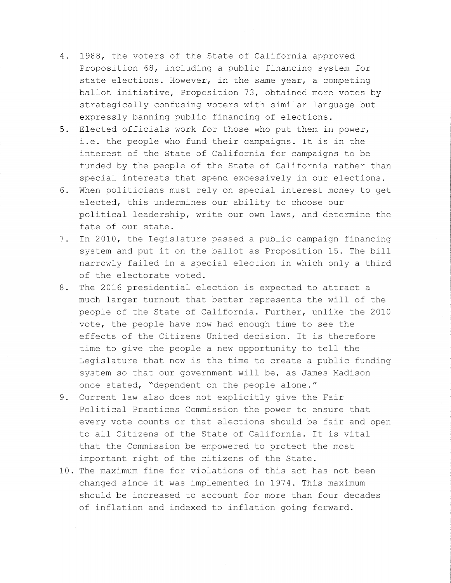- 4. 1988, the voters of the State of California approved Proposition 68, including a public financing system for state elections. However, in the same year, a competing ballot initiative, Proposition 73, obtained more votes by strategically confusing voters with similar language but expressly banning public financing of elections.
- 5. Elected officials work for those who put them in power, i.e. the people who fund their campaigns. It is in the interest of the State of California for campaigns to be funded by the people of the State of California rather than special interests that spend excessively in our elections.
- 6. When politicians must rely on special interest money to get elected, this undermines our ability to choose our political leadership, write our own laws, and determine the fate of our state.
- 7. In 2010, the Legislature passed a public campaign financing system and put it on the ballot as Proposition 15. The bill narrowly failed in a special election in which only a third of the electorate voted.
- 8. The 2016 presidential election is expected to attract a much larger turnout that better represents the will of the people of the State of California. Further, unlike the 2010 vote, the people have now had enough time to see the effects of the Citizens United decision. It is therefore time to give the people a new opportunity to tell the Legislature that now is the time to create a public funding system so that our government will be, as James Madison once stated, "dependent on the people alone."
- 9. Current law also does not explicitly give the Fair Political Practices Commission the power to ensure that every vote counts or that elections should be fair and open to all Citizens of the State of California. It is vital that the Commission be empowered to protect the most important right of the citizens of the State.
- 10. The maximum fine for violations of this act has not been changed since it was implemented in 1974. This maximum should be increased to account for more than four decades of inflation and indexed to inflation going forward.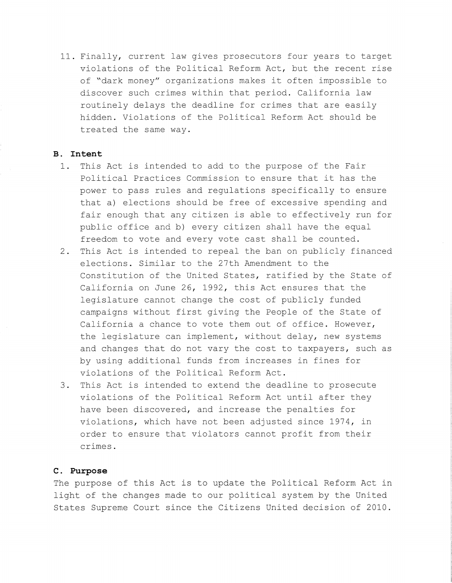11. Finally, current law gives prosecutors four years to target violations of the Political Reform Act, but the recent rise of "dark money" organizations makes it often impossible to discover such crimes within that period. California law routinely delays the deadline for crimes that are easily hidden. Violations of the Political Reform Act should be treated the same way.

#### **B. Intent**

- 1. This Act is intended to add to the purpose of the Fair Political Practices Commission to ensure that it has the power to pass rules and regulations specifically to ensure that a) elections should be free of excessive spending and fair enough that any citizen is able to effectively run for public office and b) every citizen shall have the equal freedom to vote and every vote cast shall be counted.
- 2. This Act is intended to repeal the ban on publicly financed elections. Similar to the 27th Amendment to the Constitution of the United States, ratified by the State of California on June 26, 1992, this Act ensures that the legislature cannot change the cost of publicly funded campaigns without first giving the People of the State of California a chance to vote them out of office. However, the legislature can implement, without delay, new systems and changes that do not vary the cost to taxpayers, such as by using additional funds from increases in fines for violations of the Political Reform Act.
- 3. This Act is intended to extend the deadline to prosecute violations of the Political Reform Act until after they have been discovered, and increase the penalties for violations, which have not been adjusted since 1974, in order to ensure that violators cannot profit from their crimes.

#### **C. Purpose**

The purpose of this Act is to update the Political Reform Act in light of the changes made to our political system by the United States Supreme Court since the Citizens United decision of 2010.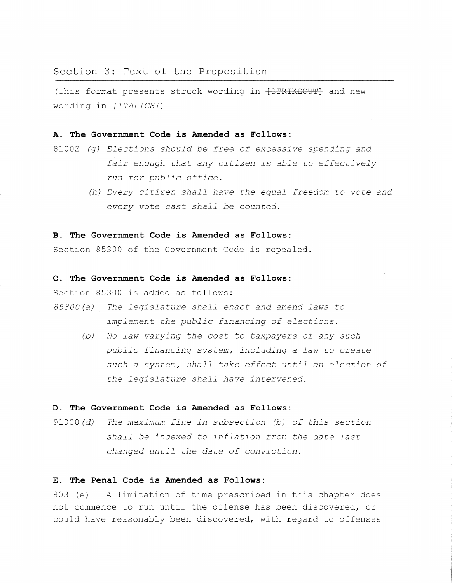#### Section 3: Text of the Proposition

(This format presents struck wording in  $\text{f}$  STRIKEOUT} and new wording in *[ITALICS])* 

#### **A. The Government Code** *is* **Amended as Follows:**

- 81002 *(g) Elections should be free of excessive spending and fair enough that any citizen is able* to *effectively run for public office.* 
	- *(h) Every citizen shall have the equal freedom* to *vote and every vote cast shall be counted.*

#### **B. The Government Code** *is* **Amended as Follows:**

Section 85300 of the Government Code is repealed.

#### **C. The Government Code** *is* **Amended as Follows:**

Section 85300 is added as follows:

- 85300 (a) *The legislature shall enact and amend laws* to *implement the public financing of elections.* 
	- *(b) No law varying the cost* to *taxpayers of any such public financing system, including a law* to *create such a system, shall take effect until an election of the legislature shall have intervened.*

#### **D. The Government Code is Amended as Follows:**

91000 (d) *The maximum fine in subsection (b) of this section shall be indexed* to *inflation from the date last changed until the date of conviction.* 

#### **E. The Penal Code is Amended as Follows:**

803 (e) A limitation of time prescribed in this chapter does not commence to run until the offense has been discovered, or could have reasonably been discovered, with regard to offenses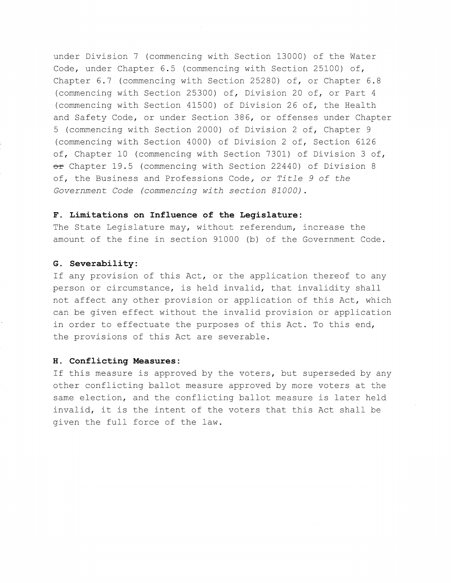under Division 7 (commencing with Section 13000) of the Water Code, under Chapter 6.5 (commencing with Section 25100) of, Chapter 6.7 (commencing with Section 25280) of, or Chapter 6.8 (commencing with Section 25300) of, Division 20 of, or Part 4 (commencing with Section 41500) of Division 26 of, the Health and Safety Code, or under Section 386, or offenses under Chapter 5 (commencing with Section 2000) of Division 2 of, Chapter 9 (commencing with Section 4000) of Division 2 of, Section 6126 of, Chapter 10 (commencing with Section 7301) of Division 3 of, or Chapter 19.5 (commencing with Section 22440) of Division 8 of, the Business and Professions Code, *or Title 9 of the Government Code (commencing with section 81000).* 

#### **F. Limitations on Influence of the Legislature:**

The State Legislature may, without referendum, increase the amount of the fine in section 91000 (b) of the Government Code.

#### **G. Severability:**

If any provision of this Act, or the application thereof to any person or circumstance, is held invalid, that invalidity shall not affect any other provision or application of this Act, which can be given effect without the invalid provision or application in order to effectuate the purposes of this Act. To this end, the provisions of this Act are severable.

#### **H. Conflicting Measures:**

If this measure is approved by the voters, but superseded by any other conflicting ballot measure approved by more voters at the same election, and the conflicting ballot measure is later held invalid, it is the intent of the voters that this Act shall be given the full force of the law.